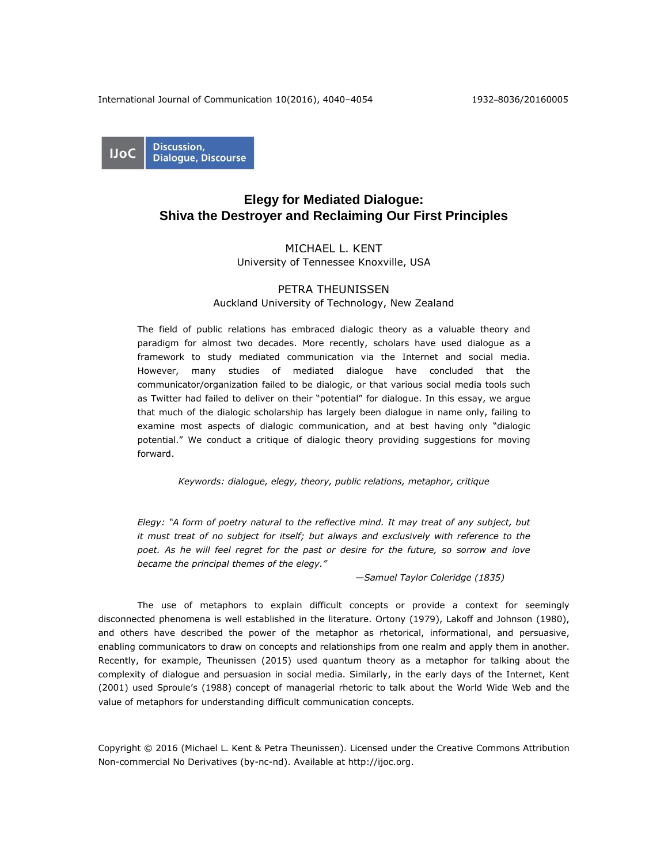International Journal of Communication 10(2016), 4040–4054 1932–8036/20160005

Discussion, **IJoC Dialogue, Discourse** 

# **Elegy for Mediated Dialogue: Shiva the Destroyer and Reclaiming Our First Principles**

## MICHAEL L. KENT

University of Tennessee Knoxville, USA

# PETRA THEUNISSEN

# Auckland University of Technology, New Zealand

The field of public relations has embraced dialogic theory as a valuable theory and paradigm for almost two decades. More recently, scholars have used dialogue as a framework to study mediated communication via the Internet and social media. However, many studies of mediated dialogue have concluded that the communicator/organization failed to be dialogic, or that various social media tools such as Twitter had failed to deliver on their "potential" for dialogue. In this essay, we argue that much of the dialogic scholarship has largely been dialogue in name only, failing to examine most aspects of dialogic communication, and at best having only "dialogic potential." We conduct a critique of dialogic theory providing suggestions for moving forward.

*Keywords: dialogue, elegy, theory, public relations, metaphor, critique*

*Elegy: "A form of poetry natural to the reflective mind. It may treat of any subject, but it must treat of no subject for itself; but always and exclusively with reference to the poet. As he will feel regret for the past or desire for the future, so sorrow and love became the principal themes of the elegy."*

 *—Samuel Taylor Coleridge (1835)*

The use of metaphors to explain difficult concepts or provide a context for seemingly disconnected phenomena is well established in the literature. Ortony (1979), Lakoff and Johnson (1980), and others have described the power of the metaphor as rhetorical, informational, and persuasive, enabling communicators to draw on concepts and relationships from one realm and apply them in another. Recently, for example, Theunissen (2015) used quantum theory as a metaphor for talking about the complexity of dialogue and persuasion in social media. Similarly, in the early days of the Internet, Kent (2001) used Sproule's (1988) concept of managerial rhetoric to talk about the World Wide Web and the value of metaphors for understanding difficult communication concepts.

Copyright © 2016 (Michael L. Kent & Petra Theunissen). Licensed under the Creative Commons Attribution Non-commercial No Derivatives (by-nc-nd). Available at [http://ijoc.org.](http://ijoc.org/)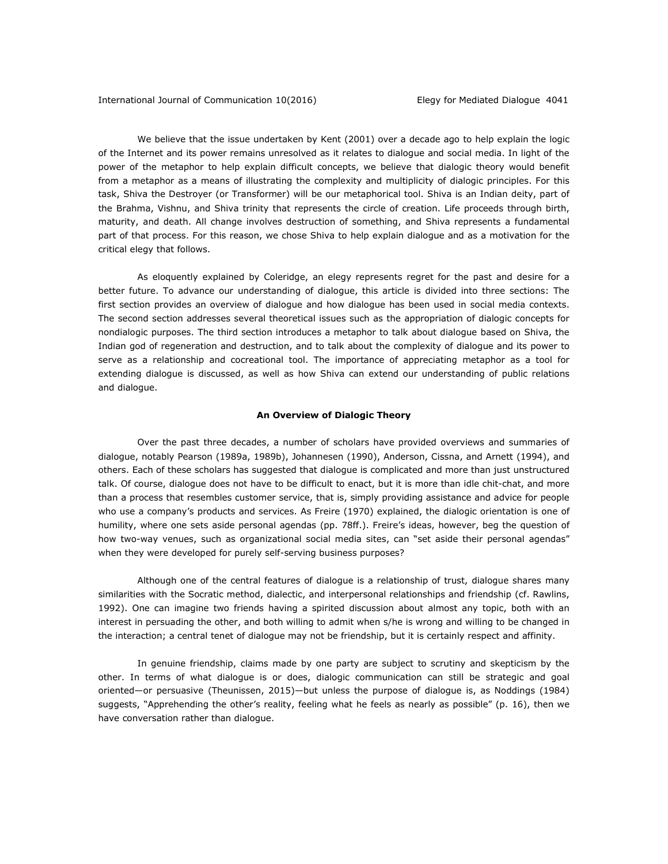We believe that the issue undertaken by Kent (2001) over a decade ago to help explain the logic of the Internet and its power remains unresolved as it relates to dialogue and social media. In light of the power of the metaphor to help explain difficult concepts, we believe that dialogic theory would benefit from a metaphor as a means of illustrating the complexity and multiplicity of dialogic principles. For this task, Shiva the Destroyer (or Transformer) will be our metaphorical tool. Shiva is an Indian deity, part of the Brahma, Vishnu, and Shiva trinity that represents the circle of creation. Life proceeds through birth, maturity, and death. All change involves destruction of something, and Shiva represents a fundamental part of that process. For this reason, we chose Shiva to help explain dialogue and as a motivation for the critical elegy that follows.

As eloquently explained by Coleridge, an elegy represents regret for the past and desire for a better future. To advance our understanding of dialogue, this article is divided into three sections: The first section provides an overview of dialogue and how dialogue has been used in social media contexts. The second section addresses several theoretical issues such as the appropriation of dialogic concepts for nondialogic purposes. The third section introduces a metaphor to talk about dialogue based on Shiva, the Indian god of regeneration and destruction, and to talk about the complexity of dialogue and its power to serve as a relationship and cocreational tool. The importance of appreciating metaphor as a tool for extending dialogue is discussed, as well as how Shiva can extend our understanding of public relations and dialogue.

## **An Overview of Dialogic Theory**

Over the past three decades, a number of scholars have provided overviews and summaries of dialogue, notably Pearson (1989a, 1989b), Johannesen (1990), Anderson, Cissna, and Arnett (1994), and others. Each of these scholars has suggested that dialogue is complicated and more than just unstructured talk. Of course, dialogue does not have to be difficult to enact, but it is more than idle chit-chat, and more than a process that resembles customer service, that is, simply providing assistance and advice for people who use a company's products and services. As Freire (1970) explained, the dialogic orientation is one of humility, where one sets aside personal agendas (pp. 78ff.). Freire's ideas, however, beg the question of how two-way venues, such as organizational social media sites, can "set aside their personal agendas" when they were developed for purely self-serving business purposes?

Although one of the central features of dialogue is a relationship of trust, dialogue shares many similarities with the Socratic method, dialectic, and interpersonal relationships and friendship (cf. Rawlins, 1992). One can imagine two friends having a spirited discussion about almost any topic, both with an interest in persuading the other, and both willing to admit when s/he is wrong and willing to be changed in the interaction; a central tenet of dialogue may not be friendship, but it is certainly respect and affinity.

In genuine friendship, claims made by one party are subject to scrutiny and skepticism by the other. In terms of what dialogue is or does, dialogic communication can still be strategic and goal oriented—or persuasive (Theunissen, 2015)—but unless the purpose of dialogue is, as Noddings (1984) suggests, "Apprehending the other's reality, feeling what he feels as nearly as possible" (p. 16), then we have conversation rather than dialogue.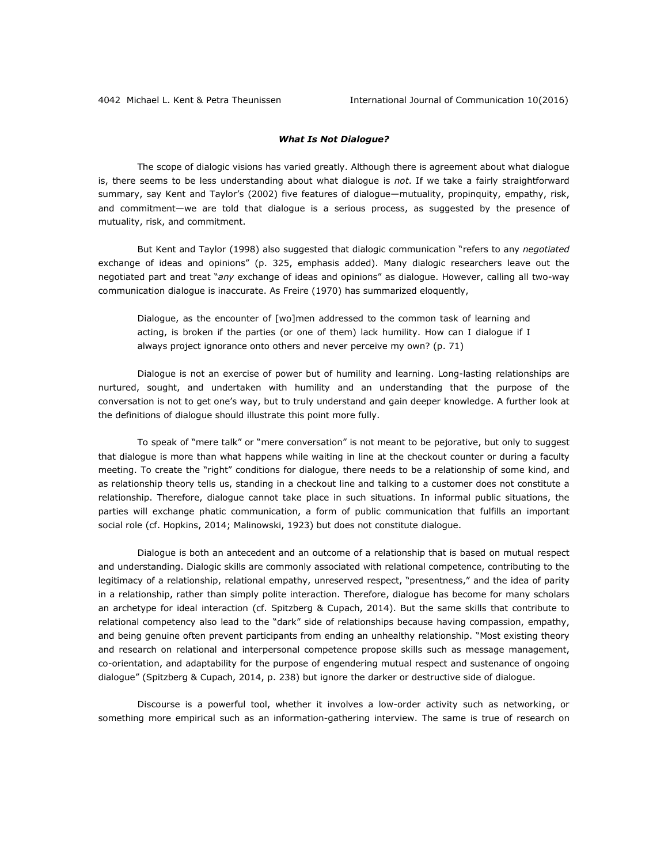#### *What Is Not Dialogue?*

The scope of dialogic visions has varied greatly. Although there is agreement about what dialogue is, there seems to be less understanding about what dialogue is *not*. If we take a fairly straightforward summary, say Kent and Taylor's (2002) five features of dialogue—mutuality, propinquity, empathy, risk, and commitment—we are told that dialogue is a serious process, as suggested by the presence of mutuality, risk, and commitment.

But Kent and Taylor (1998) also suggested that dialogic communication "refers to any *negotiated* exchange of ideas and opinions" (p. 325, emphasis added). Many dialogic researchers leave out the negotiated part and treat "*any* exchange of ideas and opinions" as dialogue. However, calling all two-way communication dialogue is inaccurate. As Freire (1970) has summarized eloquently,

Dialogue, as the encounter of [wo]men addressed to the common task of learning and acting, is broken if the parties (or one of them) lack humility. How can I dialogue if I always project ignorance onto others and never perceive my own? (p. 71)

Dialogue is not an exercise of power but of humility and learning. Long-lasting relationships are nurtured, sought, and undertaken with humility and an understanding that the purpose of the conversation is not to get one's way, but to truly understand and gain deeper knowledge. A further look at the definitions of dialogue should illustrate this point more fully.

To speak of "mere talk" or "mere conversation" is not meant to be pejorative, but only to suggest that dialogue is more than what happens while waiting in line at the checkout counter or during a faculty meeting. To create the "right" conditions for dialogue, there needs to be a relationship of some kind, and as relationship theory tells us, standing in a checkout line and talking to a customer does not constitute a relationship. Therefore, dialogue cannot take place in such situations. In informal public situations, the parties will exchange phatic communication, a form of public communication that fulfills an important social role (cf. Hopkins, 2014; Malinowski, 1923) but does not constitute dialogue.

Dialogue is both an antecedent and an outcome of a relationship that is based on mutual respect and understanding. Dialogic skills are commonly associated with relational competence, contributing to the legitimacy of a relationship, relational empathy, unreserved respect, "presentness," and the idea of parity in a relationship, rather than simply polite interaction. Therefore, dialogue has become for many scholars an archetype for ideal interaction (cf. Spitzberg & Cupach, 2014). But the same skills that contribute to relational competency also lead to the "dark" side of relationships because having compassion, empathy, and being genuine often prevent participants from ending an unhealthy relationship. "Most existing theory and research on relational and interpersonal competence propose skills such as message management, co-orientation, and adaptability for the purpose of engendering mutual respect and sustenance of ongoing dialogue" (Spitzberg & Cupach, 2014, p. 238) but ignore the darker or destructive side of dialogue.

Discourse is a powerful tool, whether it involves a low-order activity such as networking, or something more empirical such as an information-gathering interview. The same is true of research on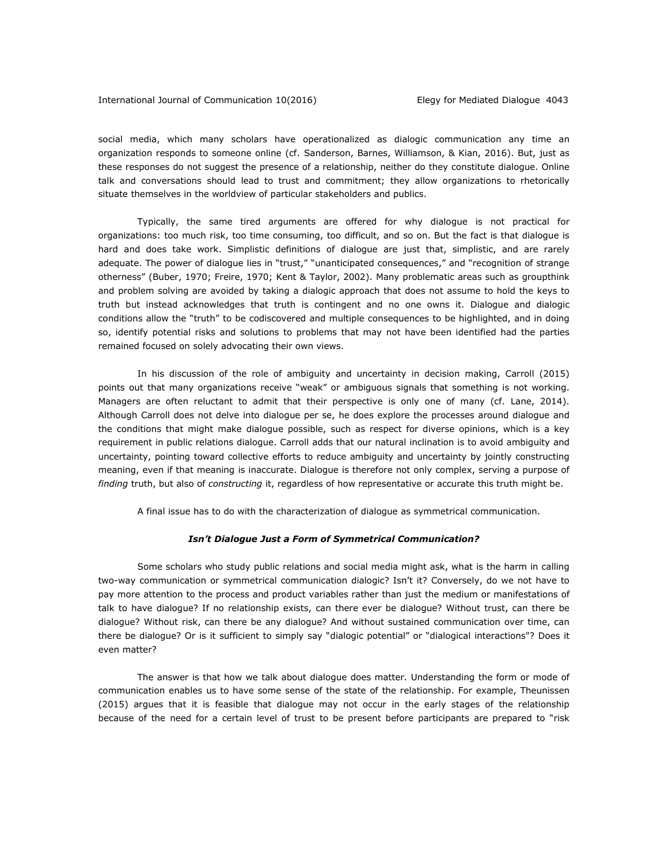social media, which many scholars have operationalized as dialogic communication any time an organization responds to someone online (cf. Sanderson, Barnes, Williamson, & Kian, 2016). But, just as these responses do not suggest the presence of a relationship, neither do they constitute dialogue. Online talk and conversations should lead to trust and commitment; they allow organizations to rhetorically situate themselves in the worldview of particular stakeholders and publics.

Typically, the same tired arguments are offered for why dialogue is not practical for organizations: too much risk, too time consuming, too difficult, and so on. But the fact is that dialogue is hard and does take work. Simplistic definitions of dialogue are just that, simplistic, and are rarely adequate. The power of dialogue lies in "trust," "unanticipated consequences," and "recognition of strange otherness" (Buber, 1970; Freire, 1970; Kent & Taylor, 2002). Many problematic areas such as groupthink and problem solving are avoided by taking a dialogic approach that does not assume to hold the keys to truth but instead acknowledges that truth is contingent and no one owns it. Dialogue and dialogic conditions allow the "truth" to be codiscovered and multiple consequences to be highlighted, and in doing so, identify potential risks and solutions to problems that may not have been identified had the parties remained focused on solely advocating their own views.

In his discussion of the role of ambiguity and uncertainty in decision making, Carroll (2015) points out that many organizations receive "weak" or ambiguous signals that something is not working. Managers are often reluctant to admit that their perspective is only one of many (cf. Lane, 2014). Although Carroll does not delve into dialogue per se, he does explore the processes around dialogue and the conditions that might make dialogue possible, such as respect for diverse opinions, which is a key requirement in public relations dialogue. Carroll adds that our natural inclination is to avoid ambiguity and uncertainty, pointing toward collective efforts to reduce ambiguity and uncertainty by jointly constructing meaning, even if that meaning is inaccurate. Dialogue is therefore not only complex, serving a purpose of *finding* truth, but also of *constructing* it, regardless of how representative or accurate this truth might be.

A final issue has to do with the characterization of dialogue as symmetrical communication.

#### *Isn't Dialogue Just a Form of Symmetrical Communication?*

Some scholars who study public relations and social media might ask, what is the harm in calling two-way communication or symmetrical communication dialogic? Isn't it? Conversely, do we not have to pay more attention to the process and product variables rather than just the medium or manifestations of talk to have dialogue? If no relationship exists, can there ever be dialogue? Without trust, can there be dialogue? Without risk, can there be any dialogue? And without sustained communication over time, can there be dialogue? Or is it sufficient to simply say "dialogic potential" or "dialogical interactions"? Does it even matter?

The answer is that how we talk about dialogue does matter. Understanding the form or mode of communication enables us to have some sense of the state of the relationship. For example, Theunissen (2015) argues that it is feasible that dialogue may not occur in the early stages of the relationship because of the need for a certain level of trust to be present before participants are prepared to "risk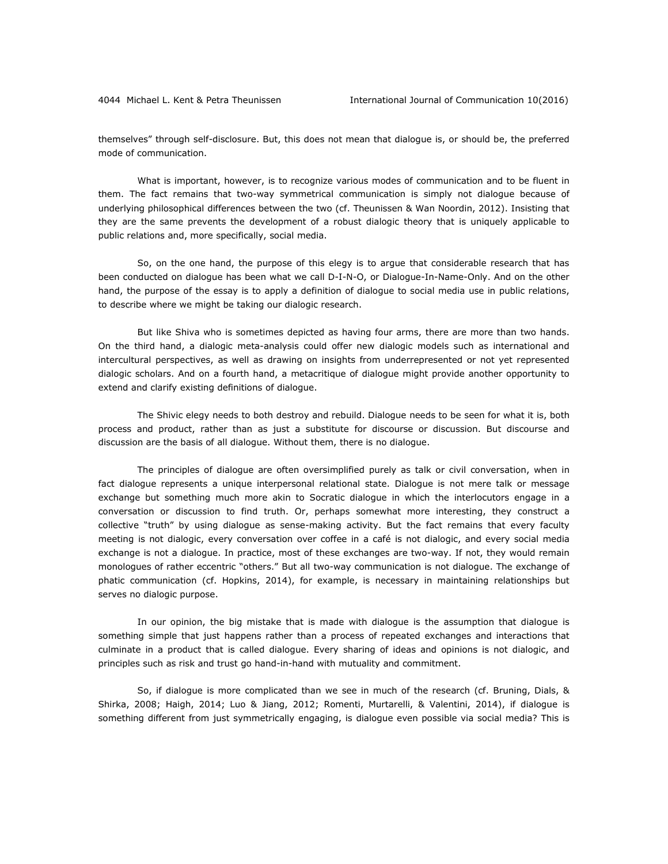themselves" through self-disclosure. But, this does not mean that dialogue is, or should be, the preferred mode of communication.

What is important, however, is to recognize various modes of communication and to be fluent in them. The fact remains that two-way symmetrical communication is simply not dialogue because of underlying philosophical differences between the two (cf. Theunissen & Wan Noordin, 2012). Insisting that they are the same prevents the development of a robust dialogic theory that is uniquely applicable to public relations and, more specifically, social media.

So, on the one hand, the purpose of this elegy is to argue that considerable research that has been conducted on dialogue has been what we call D-I-N-O, or Dialogue-In-Name-Only. And on the other hand, the purpose of the essay is to apply a definition of dialogue to social media use in public relations, to describe where we might be taking our dialogic research.

But like Shiva who is sometimes depicted as having four arms, there are more than two hands. On the third hand, a dialogic meta-analysis could offer new dialogic models such as international and intercultural perspectives, as well as drawing on insights from underrepresented or not yet represented dialogic scholars. And on a fourth hand, a metacritique of dialogue might provide another opportunity to extend and clarify existing definitions of dialogue.

The Shivic elegy needs to both destroy and rebuild. Dialogue needs to be seen for what it is, both process and product, rather than as just a substitute for discourse or discussion. But discourse and discussion are the basis of all dialogue. Without them, there is no dialogue.

The principles of dialogue are often oversimplified purely as talk or civil conversation, when in fact dialogue represents a unique interpersonal relational state. Dialogue is not mere talk or message exchange but something much more akin to Socratic dialogue in which the interlocutors engage in a conversation or discussion to find truth. Or, perhaps somewhat more interesting, they construct a collective "truth" by using dialogue as sense-making activity. But the fact remains that every faculty meeting is not dialogic, every conversation over coffee in a café is not dialogic, and every social media exchange is not a dialogue. In practice, most of these exchanges are two-way. If not, they would remain monologues of rather eccentric "others." But all two-way communication is not dialogue. The exchange of phatic communication (cf. Hopkins, 2014), for example, is necessary in maintaining relationships but serves no dialogic purpose.

In our opinion, the big mistake that is made with dialogue is the assumption that dialogue is something simple that just happens rather than a process of repeated exchanges and interactions that culminate in a product that is called dialogue. Every sharing of ideas and opinions is not dialogic, and principles such as risk and trust go hand-in-hand with mutuality and commitment.

So, if dialogue is more complicated than we see in much of the research (cf. Bruning, Dials, & Shirka, 2008; Haigh, 2014; Luo & Jiang, 2012; Romenti, Murtarelli, & Valentini, 2014), if dialogue is something different from just symmetrically engaging, is dialogue even possible via social media? This is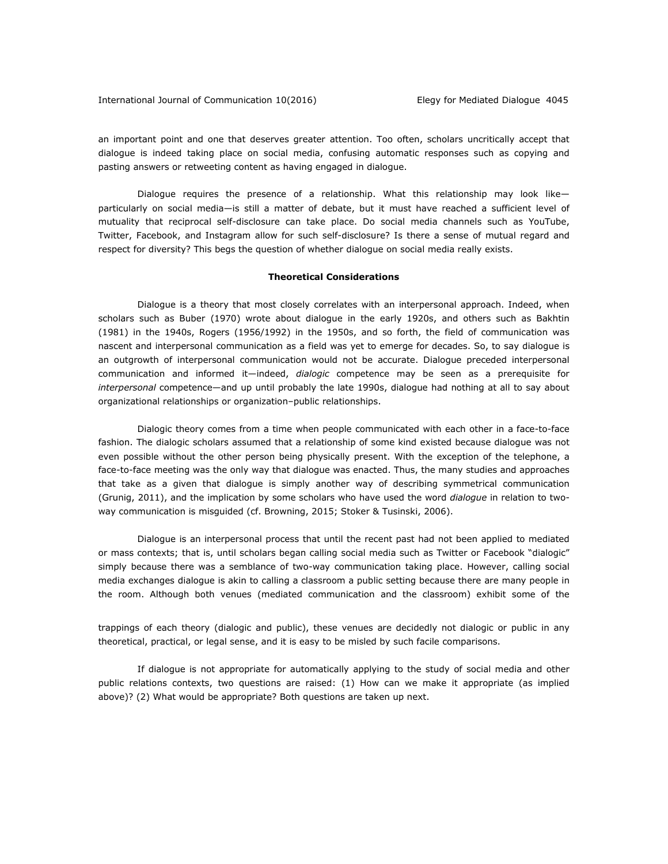#### International Journal of Communication 10(2016) Elegy for Mediated Dialogue 4045

an important point and one that deserves greater attention. Too often, scholars uncritically accept that dialogue is indeed taking place on social media, confusing automatic responses such as copying and pasting answers or retweeting content as having engaged in dialogue.

Dialogue requires the presence of a relationship. What this relationship may look like particularly on social media—is still a matter of debate, but it must have reached a sufficient level of mutuality that reciprocal self-disclosure can take place. Do social media channels such as YouTube, Twitter, Facebook, and Instagram allow for such self-disclosure? Is there a sense of mutual regard and respect for diversity? This begs the question of whether dialogue on social media really exists.

#### **Theoretical Considerations**

Dialogue is a theory that most closely correlates with an interpersonal approach. Indeed, when scholars such as Buber (1970) wrote about dialogue in the early 1920s, and others such as Bakhtin (1981) in the 1940s, Rogers (1956/1992) in the 1950s, and so forth, the field of communication was nascent and interpersonal communication as a field was yet to emerge for decades. So, to say dialogue is an outgrowth of interpersonal communication would not be accurate. Dialogue preceded interpersonal communication and informed it—indeed, *dialogic* competence may be seen as a prerequisite for *interpersonal* competence—and up until probably the late 1990s, dialogue had nothing at all to say about organizational relationships or organization–public relationships.

Dialogic theory comes from a time when people communicated with each other in a face-to-face fashion. The dialogic scholars assumed that a relationship of some kind existed because dialogue was not even possible without the other person being physically present. With the exception of the telephone, a face-to-face meeting was the only way that dialogue was enacted. Thus, the many studies and approaches that take as a given that dialogue is simply another way of describing symmetrical communication (Grunig, 2011), and the implication by some scholars who have used the word *dialogue* in relation to twoway communication is misguided (cf. Browning, 2015; Stoker & Tusinski, 2006).

Dialogue is an interpersonal process that until the recent past had not been applied to mediated or mass contexts; that is, until scholars began calling social media such as Twitter or Facebook "dialogic" simply because there was a semblance of two-way communication taking place. However, calling social media exchanges dialogue is akin to calling a classroom a public setting because there are many people in the room. Although both venues (mediated communication and the classroom) exhibit some of the

trappings of each theory (dialogic and public), these venues are decidedly not dialogic or public in any theoretical, practical, or legal sense, and it is easy to be misled by such facile comparisons.

If dialogue is not appropriate for automatically applying to the study of social media and other public relations contexts, two questions are raised: (1) How can we make it appropriate (as implied above)? (2) What would be appropriate? Both questions are taken up next.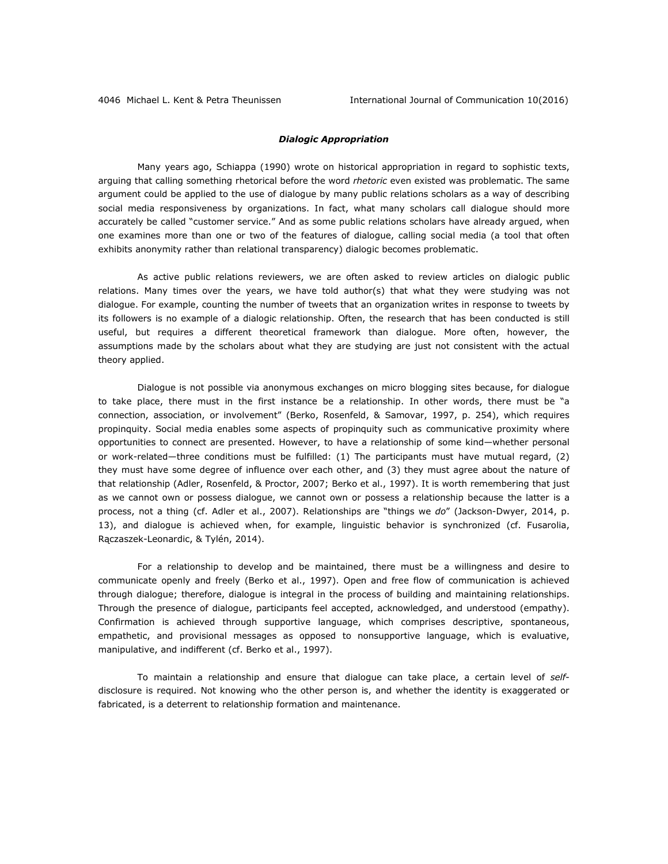## *Dialogic Appropriation*

Many years ago, Schiappa (1990) wrote on historical appropriation in regard to sophistic texts, arguing that calling something rhetorical before the word *rhetoric* even existed was problematic. The same argument could be applied to the use of dialogue by many public relations scholars as a way of describing social media responsiveness by organizations. In fact, what many scholars call dialogue should more accurately be called "customer service." And as some public relations scholars have already argued, when one examines more than one or two of the features of dialogue, calling social media (a tool that often exhibits anonymity rather than relational transparency) dialogic becomes problematic.

As active public relations reviewers, we are often asked to review articles on dialogic public relations. Many times over the years, we have told author(s) that what they were studying was not dialogue. For example, counting the number of tweets that an organization writes in response to tweets by its followers is no example of a dialogic relationship. Often, the research that has been conducted is still useful, but requires a different theoretical framework than dialogue. More often, however, the assumptions made by the scholars about what they are studying are just not consistent with the actual theory applied.

Dialogue is not possible via anonymous exchanges on micro blogging sites because, for dialogue to take place, there must in the first instance be a relationship. In other words, there must be "a connection, association, or involvement" (Berko, Rosenfeld, & Samovar, 1997, p. 254), which requires propinquity. Social media enables some aspects of propinquity such as communicative proximity where opportunities to connect are presented. However, to have a relationship of some kind—whether personal or work-related—three conditions must be fulfilled: (1) The participants must have mutual regard, (2) they must have some degree of influence over each other, and (3) they must agree about the nature of that relationship (Adler, Rosenfeld, & Proctor, 2007; Berko et al., 1997). It is worth remembering that just as we cannot own or possess dialogue, we cannot own or possess a relationship because the latter is a process, not a thing (cf. Adler et al., 2007). Relationships are "things we *do*" (Jackson-Dwyer, 2014, p. 13), and dialogue is achieved when, for example, linguistic behavior is synchronized (cf. Fusarolia, Rączaszek-Leonardic, & Tylén, 2014).

For a relationship to develop and be maintained, there must be a willingness and desire to communicate openly and freely (Berko et al., 1997). Open and free flow of communication is achieved through dialogue; therefore, dialogue is integral in the process of building and maintaining relationships. Through the presence of dialogue, participants feel accepted, acknowledged, and understood (empathy). Confirmation is achieved through supportive language, which comprises descriptive, spontaneous, empathetic, and provisional messages as opposed to nonsupportive language, which is evaluative, manipulative, and indifferent (cf. Berko et al., 1997).

To maintain a relationship and ensure that dialogue can take place, a certain level of *self*disclosure is required. Not knowing who the other person is, and whether the identity is exaggerated or fabricated, is a deterrent to relationship formation and maintenance.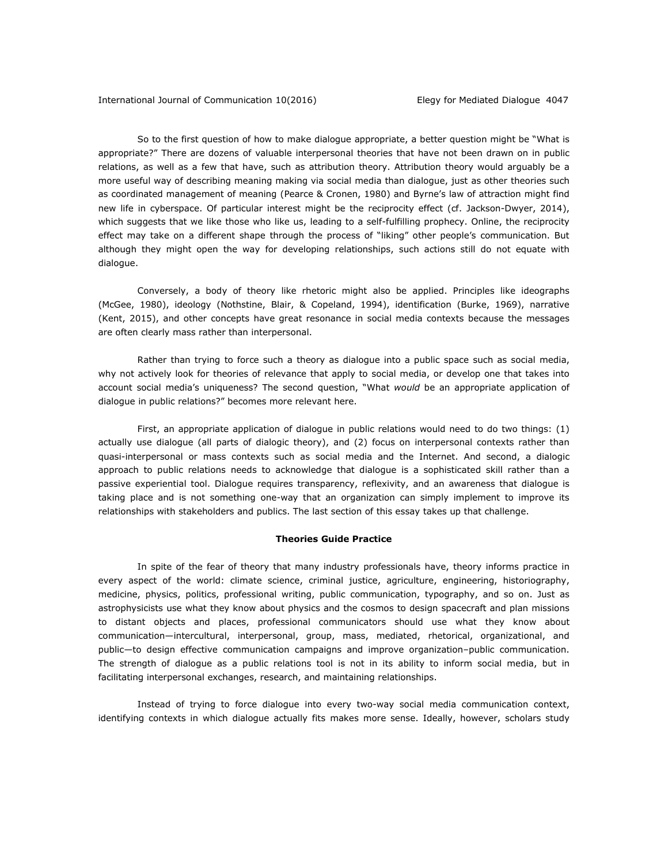So to the first question of how to make dialogue appropriate, a better question might be "What is appropriate?" There are dozens of valuable interpersonal theories that have not been drawn on in public relations, as well as a few that have, such as attribution theory. Attribution theory would arguably be a more useful way of describing meaning making via social media than dialogue, just as other theories such as coordinated management of meaning (Pearce & Cronen, 1980) and Byrne's law of attraction might find new life in cyberspace. Of particular interest might be the reciprocity effect (cf. Jackson-Dwyer, 2014), which suggests that we like those who like us, leading to a self-fulfilling prophecy. Online, the reciprocity effect may take on a different shape through the process of "liking" other people's communication. But although they might open the way for developing relationships, such actions still do not equate with dialogue.

Conversely, a body of theory like rhetoric might also be applied. Principles like ideographs (McGee, 1980), ideology (Nothstine, Blair, & Copeland, 1994), identification (Burke, 1969), narrative (Kent, 2015), and other concepts have great resonance in social media contexts because the messages are often clearly mass rather than interpersonal.

Rather than trying to force such a theory as dialogue into a public space such as social media, why not actively look for theories of relevance that apply to social media, or develop one that takes into account social media's uniqueness? The second question, "What *would* be an appropriate application of dialogue in public relations?" becomes more relevant here.

First, an appropriate application of dialogue in public relations would need to do two things: (1) actually use dialogue (all parts of dialogic theory), and (2) focus on interpersonal contexts rather than quasi-interpersonal or mass contexts such as social media and the Internet. And second, a dialogic approach to public relations needs to acknowledge that dialogue is a sophisticated skill rather than a passive experiential tool. Dialogue requires transparency, reflexivity, and an awareness that dialogue is taking place and is not something one-way that an organization can simply implement to improve its relationships with stakeholders and publics. The last section of this essay takes up that challenge.

#### **Theories Guide Practice**

In spite of the fear of theory that many industry professionals have, theory informs practice in every aspect of the world: climate science, criminal justice, agriculture, engineering, historiography, medicine, physics, politics, professional writing, public communication, typography, and so on. Just as astrophysicists use what they know about physics and the cosmos to design spacecraft and plan missions to distant objects and places, professional communicators should use what they know about communication—intercultural, interpersonal, group, mass, mediated, rhetorical, organizational, and public—to design effective communication campaigns and improve organization–public communication. The strength of dialogue as a public relations tool is not in its ability to inform social media, but in facilitating interpersonal exchanges, research, and maintaining relationships.

Instead of trying to force dialogue into every two-way social media communication context, identifying contexts in which dialogue actually fits makes more sense. Ideally, however, scholars study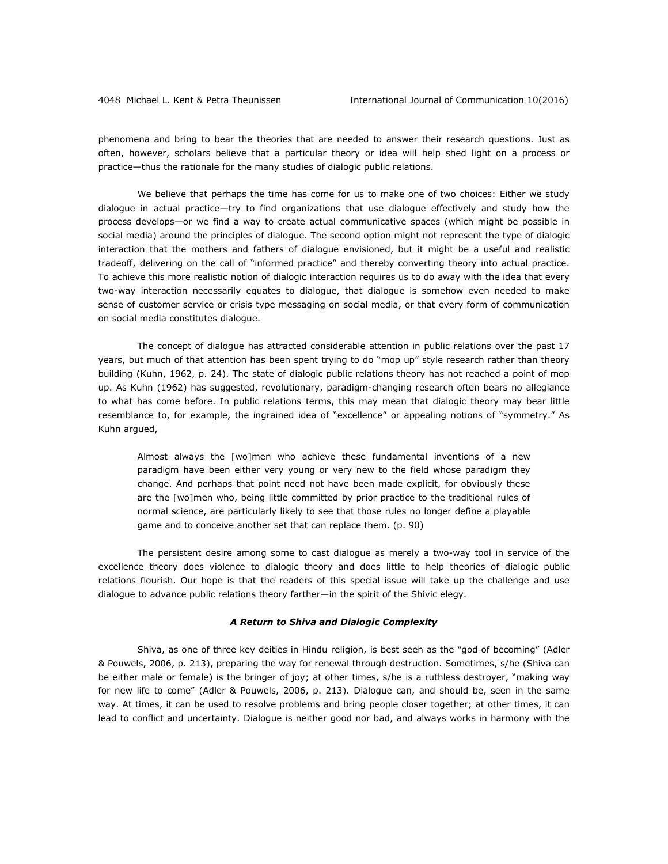phenomena and bring to bear the theories that are needed to answer their research questions. Just as often, however, scholars believe that a particular theory or idea will help shed light on a process or practice—thus the rationale for the many studies of dialogic public relations.

We believe that perhaps the time has come for us to make one of two choices: Either we study dialogue in actual practice—try to find organizations that use dialogue effectively and study how the process develops—or we find a way to create actual communicative spaces (which might be possible in social media) around the principles of dialogue. The second option might not represent the type of dialogic interaction that the mothers and fathers of dialogue envisioned, but it might be a useful and realistic tradeoff, delivering on the call of "informed practice" and thereby converting theory into actual practice. To achieve this more realistic notion of dialogic interaction requires us to do away with the idea that every two-way interaction necessarily equates to dialogue, that dialogue is somehow even needed to make sense of customer service or crisis type messaging on social media, or that every form of communication on social media constitutes dialogue.

The concept of dialogue has attracted considerable attention in public relations over the past 17 years, but much of that attention has been spent trying to do "mop up" style research rather than theory building (Kuhn, 1962, p. 24). The state of dialogic public relations theory has not reached a point of mop up. As Kuhn (1962) has suggested, revolutionary, paradigm-changing research often bears no allegiance to what has come before. In public relations terms, this may mean that dialogic theory may bear little resemblance to, for example, the ingrained idea of "excellence" or appealing notions of "symmetry." As Kuhn argued,

Almost always the [wo]men who achieve these fundamental inventions of a new paradigm have been either very young or very new to the field whose paradigm they change. And perhaps that point need not have been made explicit, for obviously these are the [wo]men who, being little committed by prior practice to the traditional rules of normal science, are particularly likely to see that those rules no longer define a playable game and to conceive another set that can replace them. (p. 90)

The persistent desire among some to cast dialogue as merely a two-way tool in service of the excellence theory does violence to dialogic theory and does little to help theories of dialogic public relations flourish. Our hope is that the readers of this special issue will take up the challenge and use dialogue to advance public relations theory farther—in the spirit of the Shivic elegy.

#### *A Return to Shiva and Dialogic Complexity*

Shiva, as one of three key deities in Hindu religion, is best seen as the "god of becoming" (Adler & Pouwels, 2006, p. 213), preparing the way for renewal through destruction. Sometimes, s/he (Shiva can be either male or female) is the bringer of joy; at other times, s/he is a ruthless destroyer, "making way for new life to come" (Adler & Pouwels, 2006, p. 213). Dialogue can, and should be, seen in the same way. At times, it can be used to resolve problems and bring people closer together; at other times, it can lead to conflict and uncertainty. Dialogue is neither good nor bad, and always works in harmony with the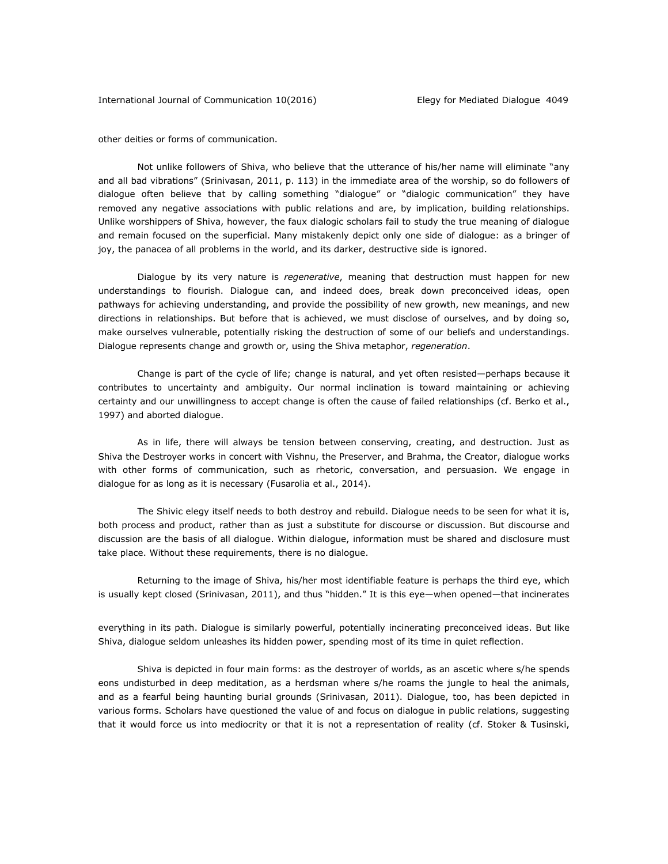other deities or forms of communication.

Not unlike followers of Shiva, who believe that the utterance of his/her name will eliminate "any and all bad vibrations" (Srinivasan, 2011, p. 113) in the immediate area of the worship, so do followers of dialogue often believe that by calling something "dialogue" or "dialogic communication" they have removed any negative associations with public relations and are, by implication, building relationships. Unlike worshippers of Shiva, however, the faux dialogic scholars fail to study the true meaning of dialogue and remain focused on the superficial. Many mistakenly depict only one side of dialogue: as a bringer of joy, the panacea of all problems in the world, and its darker, destructive side is ignored.

Dialogue by its very nature is *regenerative*, meaning that destruction must happen for new understandings to flourish. Dialogue can, and indeed does, break down preconceived ideas, open pathways for achieving understanding, and provide the possibility of new growth, new meanings, and new directions in relationships. But before that is achieved, we must disclose of ourselves, and by doing so, make ourselves vulnerable, potentially risking the destruction of some of our beliefs and understandings. Dialogue represents change and growth or, using the Shiva metaphor, *regeneration*.

Change is part of the cycle of life; change is natural, and yet often resisted—perhaps because it contributes to uncertainty and ambiguity. Our normal inclination is toward maintaining or achieving certainty and our unwillingness to accept change is often the cause of failed relationships (cf. Berko et al., 1997) and aborted dialogue.

As in life, there will always be tension between conserving, creating, and destruction. Just as Shiva the Destroyer works in concert with Vishnu, the Preserver, and Brahma, the Creator, dialogue works with other forms of communication, such as rhetoric, conversation, and persuasion. We engage in dialogue for as long as it is necessary (Fusarolia et al., 2014).

The Shivic elegy itself needs to both destroy and rebuild. Dialogue needs to be seen for what it is, both process and product, rather than as just a substitute for discourse or discussion. But discourse and discussion are the basis of all dialogue. Within dialogue, information must be shared and disclosure must take place. Without these requirements, there is no dialogue.

Returning to the image of Shiva, his/her most identifiable feature is perhaps the third eye, which is usually kept closed (Srinivasan, 2011), and thus "hidden." It is this eye—when opened—that incinerates

everything in its path. Dialogue is similarly powerful, potentially incinerating preconceived ideas. But like Shiva, dialogue seldom unleashes its hidden power, spending most of its time in quiet reflection.

Shiva is depicted in four main forms: as the destroyer of worlds, as an ascetic where s/he spends eons undisturbed in deep meditation, as a herdsman where s/he roams the jungle to heal the animals, and as a fearful being haunting burial grounds (Srinivasan, 2011). Dialogue, too, has been depicted in various forms. Scholars have questioned the value of and focus on dialogue in public relations, suggesting that it would force us into mediocrity or that it is not a representation of reality (cf. Stoker & Tusinski,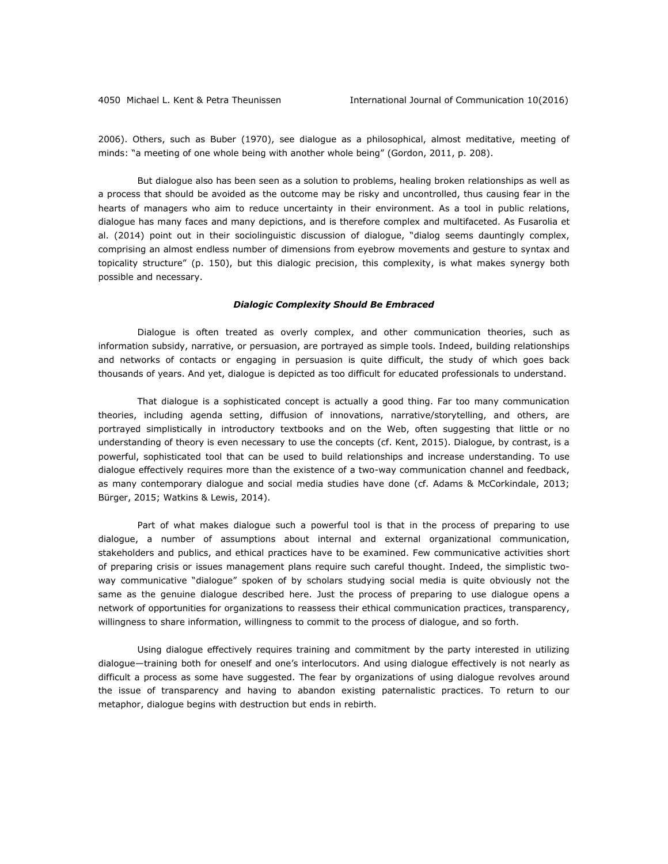2006). Others, such as Buber (1970), see dialogue as a philosophical, almost meditative, meeting of minds: "a meeting of one whole being with another whole being" (Gordon, 2011, p. 208).

But dialogue also has been seen as a solution to problems, healing broken relationships as well as a process that should be avoided as the outcome may be risky and uncontrolled, thus causing fear in the hearts of managers who aim to reduce uncertainty in their environment. As a tool in public relations, dialogue has many faces and many depictions, and is therefore complex and multifaceted. As Fusarolia et al. (2014) point out in their sociolinguistic discussion of dialogue, "dialog seems dauntingly complex, comprising an almost endless number of dimensions from eyebrow movements and gesture to syntax and topicality structure" (p. 150), but this dialogic precision, this complexity, is what makes synergy both possible and necessary.

#### *Dialogic Complexity Should Be Embraced*

Dialogue is often treated as overly complex, and other communication theories, such as information subsidy, narrative, or persuasion, are portrayed as simple tools. Indeed, building relationships and networks of contacts or engaging in persuasion is quite difficult, the study of which goes back thousands of years. And yet, dialogue is depicted as too difficult for educated professionals to understand.

That dialogue is a sophisticated concept is actually a good thing. Far too many communication theories, including agenda setting, diffusion of innovations, narrative/storytelling, and others, are portrayed simplistically in introductory textbooks and on the Web, often suggesting that little or no understanding of theory is even necessary to use the concepts (cf. Kent, 2015). Dialogue, by contrast, is a powerful, sophisticated tool that can be used to build relationships and increase understanding. To use dialogue effectively requires more than the existence of a two-way communication channel and feedback, as many contemporary dialogue and social media studies have done (cf. Adams & McCorkindale, 2013; Bürger, 2015; Watkins & Lewis, 2014).

Part of what makes dialogue such a powerful tool is that in the process of preparing to use dialogue, a number of assumptions about internal and external organizational communication, stakeholders and publics, and ethical practices have to be examined. Few communicative activities short of preparing crisis or issues management plans require such careful thought. Indeed, the simplistic twoway communicative "dialogue" spoken of by scholars studying social media is quite obviously not the same as the genuine dialogue described here. Just the process of preparing to use dialogue opens a network of opportunities for organizations to reassess their ethical communication practices, transparency, willingness to share information, willingness to commit to the process of dialogue, and so forth.

Using dialogue effectively requires training and commitment by the party interested in utilizing dialogue—training both for oneself and one's interlocutors. And using dialogue effectively is not nearly as difficult a process as some have suggested. The fear by organizations of using dialogue revolves around the issue of transparency and having to abandon existing paternalistic practices. To return to our metaphor, dialogue begins with destruction but ends in rebirth.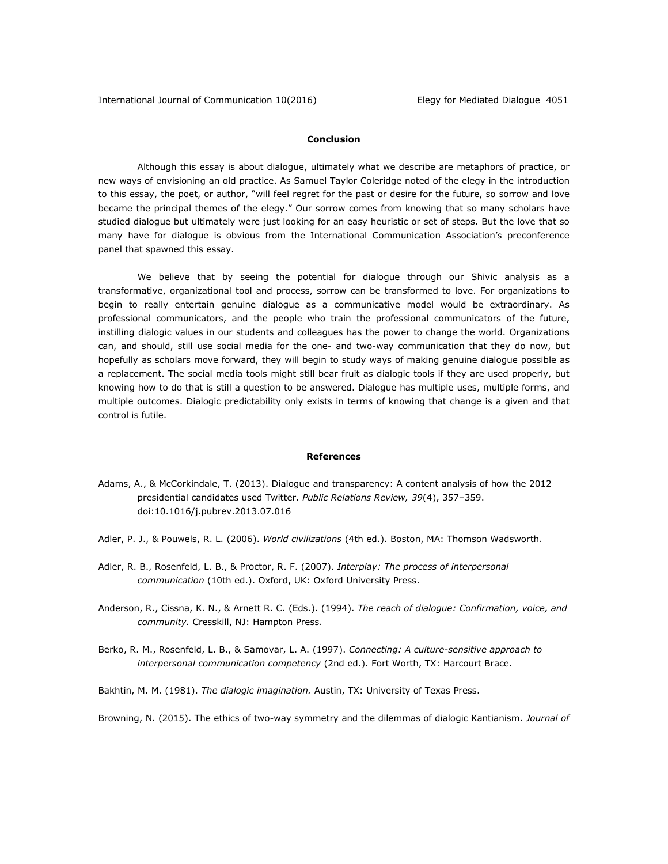## **Conclusion**

Although this essay is about dialogue, ultimately what we describe are metaphors of practice, or new ways of envisioning an old practice. As Samuel Taylor Coleridge noted of the elegy in the introduction to this essay, the poet, or author, "will feel regret for the past or desire for the future, so sorrow and love became the principal themes of the elegy." Our sorrow comes from knowing that so many scholars have studied dialogue but ultimately were just looking for an easy heuristic or set of steps. But the love that so many have for dialogue is obvious from the International Communication Association's preconference panel that spawned this essay.

We believe that by seeing the potential for dialogue through our Shivic analysis as a transformative, organizational tool and process, sorrow can be transformed to love. For organizations to begin to really entertain genuine dialogue as a communicative model would be extraordinary. As professional communicators, and the people who train the professional communicators of the future, instilling dialogic values in our students and colleagues has the power to change the world. Organizations can, and should, still use social media for the one- and two-way communication that they do now, but hopefully as scholars move forward, they will begin to study ways of making genuine dialogue possible as a replacement. The social media tools might still bear fruit as dialogic tools if they are used properly, but knowing how to do that is still a question to be answered. Dialogue has multiple uses, multiple forms, and multiple outcomes. Dialogic predictability only exists in terms of knowing that change is a given and that control is futile.

#### **References**

- Adams, A., & McCorkindale, T. (2013). Dialogue and transparency: A content analysis of how the 2012 presidential candidates used Twitter. *Public Relations Review, 39*(4), 357–359. doi:10.1016/j.pubrev.2013.07.016
- Adler, P. J., & Pouwels, R. L. (2006). *World civilizations* (4th ed.). Boston, MA: Thomson Wadsworth.
- Adler, R. B., Rosenfeld, L. B., & Proctor, R. F. (2007). *Interplay: The process of interpersonal communication* (10th ed.). Oxford, UK: Oxford University Press.
- Anderson, R., Cissna, K. N., & Arnett R. C. (Eds.). (1994). *The reach of dialogue: Confirmation, voice, and community.* Cresskill, NJ: Hampton Press.
- Berko, R. M., Rosenfeld, L. B., & Samovar, L. A. (1997). *Connecting: A culture-sensitive approach to interpersonal communication competency* (2nd ed.). Fort Worth, TX: Harcourt Brace.
- Bakhtin, M. M. (1981). *The dialogic imagination.* Austin, TX: University of Texas Press.

Browning, N. (2015). The ethics of two-way symmetry and the dilemmas of dialogic Kantianism. *Journal of*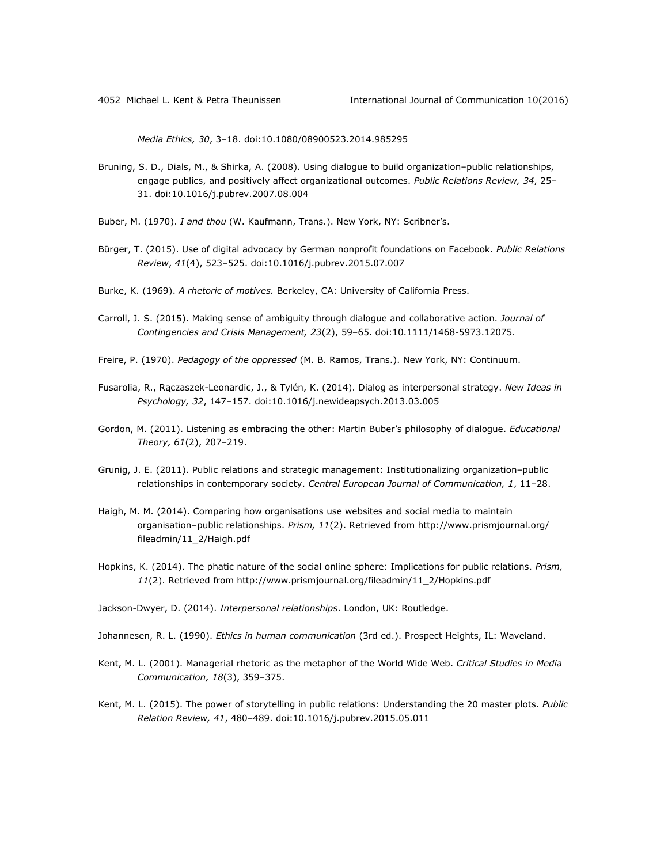*Media Ethics, 30*, 3–18. doi:10.1080/08900523.2014.985295

- Bruning, S. D., Dials, M., & Shirka, A. (2008). Using dialogue to build organization–public relationships, engage publics, and positively affect organizational outcomes. *Public Relations Review, 34*, 25– 31. doi:10.1016/j.pubrev.2007.08.004
- Buber, M. (1970). *I and thou* (W. Kaufmann, Trans.). New York, NY: Scribner's.
- Bürger, T. (2015). Use of digital advocacy by German nonprofit foundations on Facebook. *Public Relations Review*, *41*(4), 523–525. doi:10.1016/j.pubrev.2015.07.007
- Burke, K. (1969). *A rhetoric of motives.* Berkeley, CA: University of California Press.
- Carroll, J. S. (2015). Making sense of ambiguity through dialogue and collaborative action. *Journal of Contingencies and Crisis Management, 23*(2), 59–65. doi:10.1111/1468-5973.12075.
- Freire, P. (1970). *Pedagogy of the oppressed* (M. B. Ramos, Trans.). New York, NY: Continuum.
- Fusarolia, R., Rączaszek-Leonardic, J., & Tylén, K. (2014). Dialog as interpersonal strategy. *New Ideas in Psychology, 32*, 147–157. doi:10.1016/j.newideapsych.2013.03.005
- Gordon, M. (2011). Listening as embracing the other: Martin Buber's philosophy of dialogue. *Educational Theory, 61*(2), 207–219.
- Grunig, J. E. (2011). Public relations and strategic management: Institutionalizing organization–public relationships in contemporary society. *Central European Journal of Communication, 1*, 11–28.
- Haigh, M. M. (2014). Comparing how organisations use websites and social media to maintain organisation–public relationships. *Prism, 11*(2). Retrieved from [http://www.prismjournal.org/](http://www.prismjournal.org/%0bfileadmin/11_2/Haigh.pdf) [fileadmin/11\\_2/Haigh.pdf](http://www.prismjournal.org/%0bfileadmin/11_2/Haigh.pdf)
- Hopkins, K. (2014). The phatic nature of the social online sphere: Implications for public relations. *Prism, 11*(2). Retrieved from [http://www.prismjournal.org/fileadmin/11\\_2/Hopkins.pdf](http://www.prismjournal.org/fileadmin/11_2/Hopkins.pdf)

Jackson-Dwyer, D. (2014). *Interpersonal relationships*. London, UK: Routledge.

Johannesen, R. L. (1990). *Ethics in human communication* (3rd ed.). Prospect Heights, IL: Waveland.

- Kent, M. L. (2001). Managerial rhetoric as the metaphor of the World Wide Web. *Critical Studies in Media Communication, 18*(3), 359–375.
- Kent, M. L. (2015). The power of storytelling in public relations: Understanding the 20 master plots. *Public Relation Review, 41*, 480–489. doi:10.1016/j.pubrev.2015.05.011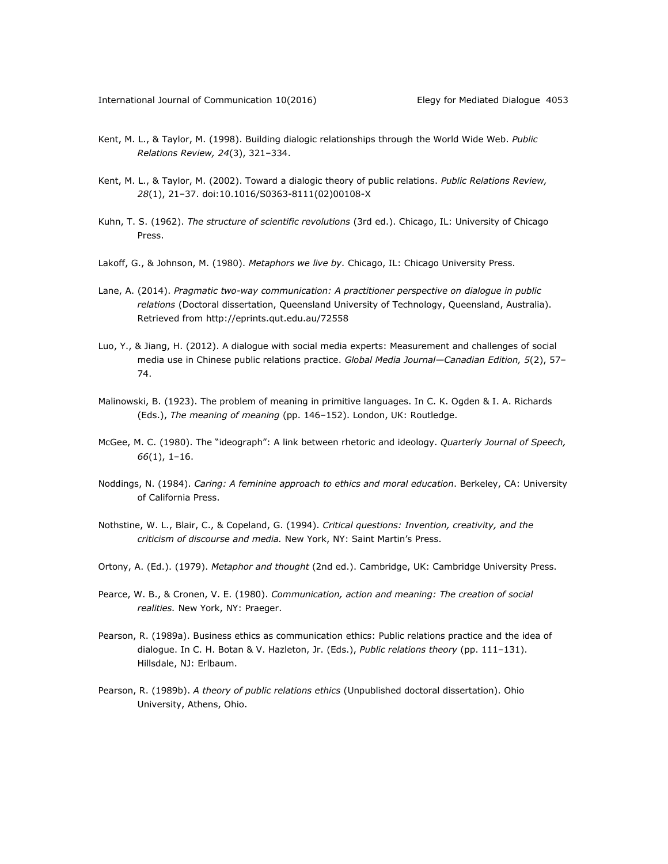- Kent, M. L., & Taylor, M. (1998). Building dialogic relationships through the World Wide Web. *Public Relations Review, 24*(3), 321–334.
- Kent, M. L., & Taylor, M. (2002). Toward a dialogic theory of public relations. *Public Relations Review, 28*(1), 21–37. doi:10.1016/S0363-8111(02)00108-X
- Kuhn, T. S. (1962). *The structure of scientific revolutions* (3rd ed.). Chicago, IL: University of Chicago Press.
- Lakoff, G., & Johnson, M. (1980). *Metaphors we live by.* Chicago, IL: Chicago University Press.
- Lane, A. (2014). *Pragmatic two-way communication: A practitioner perspective on dialogue in public relations* (Doctoral dissertation, Queensland University of Technology, Queensland, Australia). Retrieved from <http://eprints.qut.edu.au/72558>
- Luo, Y., & Jiang, H. (2012). A dialogue with social media experts: Measurement and challenges of social media use in Chinese public relations practice. *Global Media Journal—Canadian Edition, 5*(2), 57– 74.
- Malinowski, B. (1923). The problem of meaning in primitive languages. In C. K. Ogden & I. A. Richards (Eds.), *The meaning of meaning* (pp. 146–152). London, UK: Routledge.
- McGee, M. C. (1980). The "ideograph": A link between rhetoric and ideology. *Quarterly Journal of Speech, 66*(1), 1–16.
- Noddings, N. (1984). *Caring: A feminine approach to ethics and moral education*. Berkeley, CA: University of California Press.
- Nothstine, W. L., Blair, C., & Copeland, G. (1994). *Critical questions: Invention, creativity, and the criticism of discourse and media.* New York, NY: Saint Martin's Press.
- Ortony, A. (Ed.). (1979). *Metaphor and thought* (2nd ed.). Cambridge, UK: Cambridge University Press.
- Pearce, W. B., & Cronen, V. E. (1980). *Communication, action and meaning: The creation of social realities.* New York, NY: Praeger.
- Pearson, R. (1989a). Business ethics as communication ethics: Public relations practice and the idea of dialogue. In C. H. Botan & V. Hazleton, Jr. (Eds.), *Public relations theory* (pp. 111–131). Hillsdale, NJ: Erlbaum.
- Pearson, R. (1989b). *A theory of public relations ethics* (Unpublished doctoral dissertation). Ohio University, Athens, Ohio.